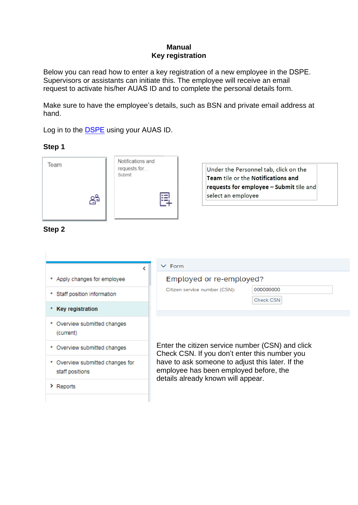#### **Manual Key registration**

Below you can read how to enter a key registration of a new employee in the DSPE. Supervisors or assistants can initiate this. The employee will receive an email request to activate his/her AUAS ID and to complete the personal details form.

Make sure to have the employee's details, such as BSN and private email address at hand.

Log in to the [DSPE](zelfbediening.uva.nl) using your AUAS ID.

## **Step 1**

| Team                            | ၉နှ                        | Notifications and<br>requests for<br>Submit | 띅           | select an employee            | Under the Personnel tab, click on the<br><b>Team tile or the Notifications and</b><br>requests for employee - Submit tile and |
|---------------------------------|----------------------------|---------------------------------------------|-------------|-------------------------------|-------------------------------------------------------------------------------------------------------------------------------|
| Step 2                          |                            |                                             | $\vee$ Form |                               |                                                                                                                               |
| ٠                               | Apply changes for employee |                                             |             | Employed or re-employed?      |                                                                                                                               |
| Staff position information<br>٠ |                            |                                             |             | Citizen service number (CSN): | 000000000                                                                                                                     |
| <b>Key registration</b><br>٠    |                            |                                             |             |                               | <b>Check CSN</b>                                                                                                              |

Enter the citizen service number (CSN) and click Check CSN. If you don't enter this number you have to ask someone to adjust this later. If the employee has been employed before, the details already known will appear.

> Reports

(current)

staff positions

\* Overview submitted changes

\* Overview submitted changes

\* Overview submitted changes for